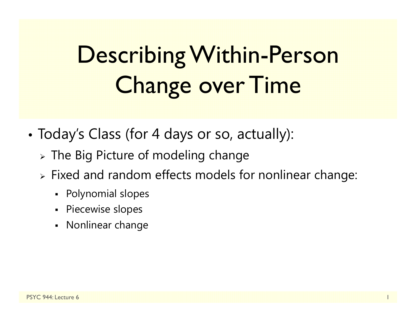# Describing Within-Person Change over Time

- • Today's Class (for 4 days or so, actually):
	- $\triangleright$  The Big Picture of modeling change
	- $\triangleright$  Fixed and random effects models for nonlinear change:
		- Polynomial slopes
		- Piecewise slopes
		- Nonlinear change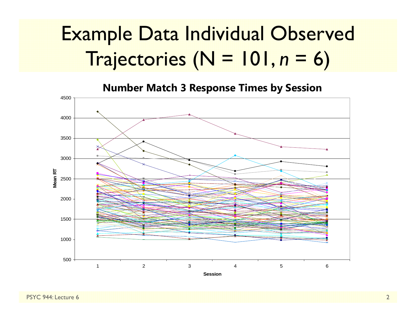#### Example Data Individual Observed Trajectories (N = 101, *n* $n = 6$

**Number Match 3 Response Times by Session** 

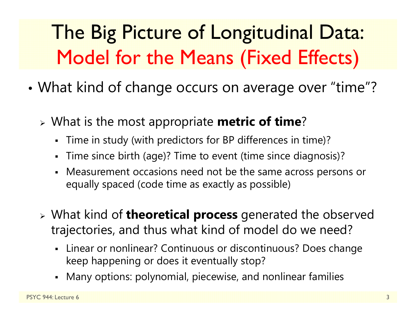## The Big Picture of Longitudinal Data: Model for the Means (Fixed Effects)

- • What kind of change occurs on average over "time"?
	- What is the most appropriate **metric of time** ?
		- $\blacksquare$ Time in study (with predictors for BP differences in time)?
		- Time since birth (age)? Time to event (time since diagnosis)?
		- Measurement occasions need not be the same across persons or equally spaced (code time as exactly as possible)
	- What kind of **theoretical process** generated the observed trajectories, and thus what kind of model do we need?
		- Linear or nonlinear? Continuous or discontinuous? Does change keep happening or does it eventually stop?
		- Many options: polynomial, piecewise, and nonlinear families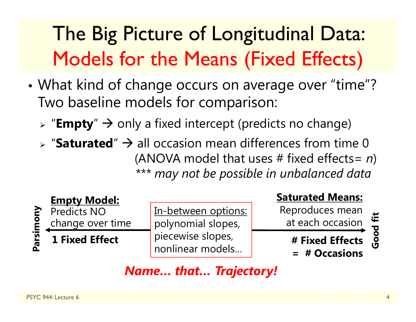# The Big Picture of Longitudinal Data: Models for the Means (Fixed Effects)

- • What kind of change occurs on average over "time"? Two baseline models for comparison:
	- > "**Empty**" → only a fixed intercept (predicts no change)
	- $\triangleright$  "Saturated"  $\rightarrow$  all occasion mean differences from time 0 (ANOVA model that uses # fixed effects= *n* ) *\*\*\* may not be possible in unbalanced data*



In-between options: polynomial slopes, piecewise slopes, nonlinear models…

#### **Saturated Means:**

Reproduces mean at each occasion

**# Fixed Effects** 

**= # Occasions**

Good fit **Good fit**

#### *Name… that… Trajectory!*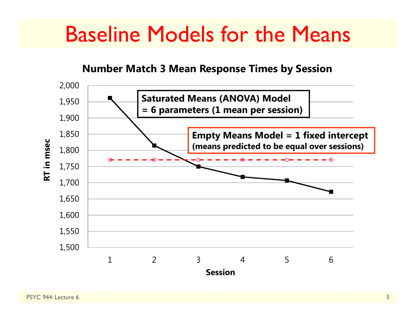### Baseline Models for the Means

#### **Number Match 3 Mean Response Times by Session**

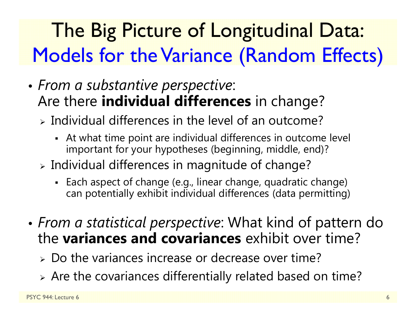## The Big Picture of Longitudinal Data: Models for the Variance (Random Effects)

- • *From a substantive perspective*: Are there **individual differences** in change?
	- $\triangleright$  Individual differences in the level of an outcome?
		- At what time point are individual differences in outcome level important for your hypotheses (beginning, middle, end)?
	- $\triangleright$  Individual differences in magnitude of change?
		- Each aspect of change (e.g., linear change, quadratic change) can potentially exhibit individual differences (data permitting)
- • *From a statistical perspective*: What kind of pattern do the **variances and covariances** exhibit over time?
	- Do the variances increase or decrease over time?
	- Are the covariances differentially related based on time?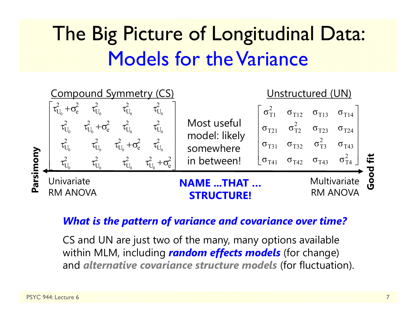### The Big Picture of Longitudinal Data: Models for the Variance



#### *What is the pattern of variance and covariance over time?*

CS and UN are just two of the many, many options available within MLM, including *random effects models* (for change) and *alternative covariance structure models* (for fluctuation).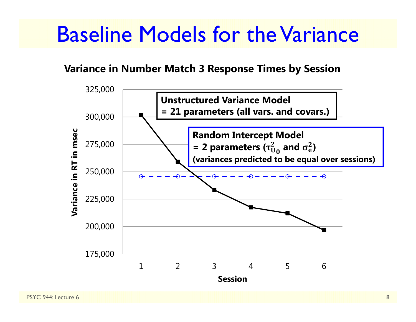### Baseline Models for the Variance

#### **Variance in Number Match 3 Response Times by Session**

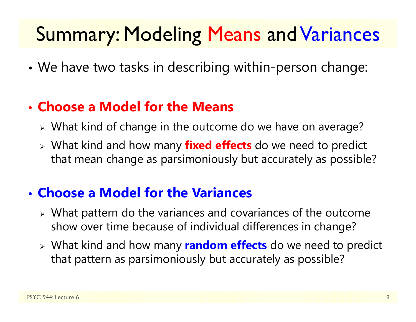### Summary: Modeling Means and Variances

•We have two tasks in describing within-person change:

#### • **Choose a Model for the Means**

- What kind of change in the outcome do we have on average?
- What kind and how many **fixed effects** do we need to predict that mean change as parsimoniously but accurately as possible?

#### • **Choose a Model for the Variances**

- What pattern do the variances and covariances of the outcome show over time because of individual differences in change?
- What kind and how many **random effects** do we need to predict that pattern as parsimoniously but accurately as possible?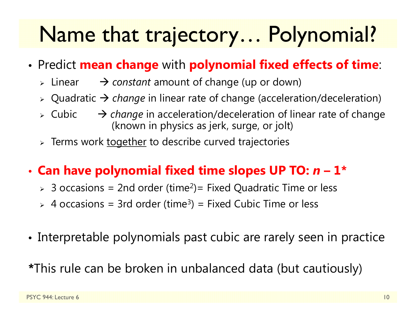# Name that trajectory… Polynomial?

- • Predict **mean change** with **polynomial fixed effects of time**:
	- $\triangleright$  Linear → *constant* amount of change (up or down)
	- Quadratic *change* in linear rate of change (acceleration/deceleration)
	- $\triangleright$  Cubic → *change* in acceleration/deceleration of linear rate of change (known in physics as jerk, surge, or jolt)
	- > Terms work <u>together</u> to describe curved trajectories

#### •**Can have polynomial fixed time slopes UP TO:**  *n* **– 1\***

- $>$  3 occasions = 2nd order (time<sup>2</sup>)= Fixed Quadratic Time or less
- $>$  4 occasions = 3rd order (time<sup>3</sup>) = Fixed Cubic Time or less
- Interpretable polynomials past cubic are rarely seen in practice

**\***This rule can be broken in unbalanced data (but cautiously)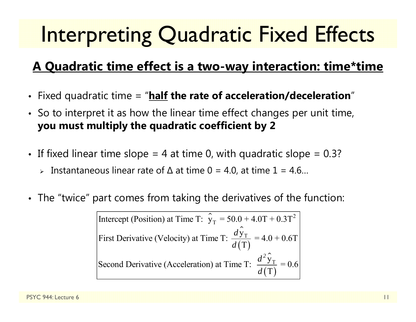# Interpreting Quadratic Fixed Effects

#### **A Quadratic time effect is a two-way interaction: time\*time**

- Fixed quadratic time = "**half the rate of acceleration/deceleration** "
- So to interpret it as how the linear time effect changes per unit time, **you must multiply the quadratic coefficient by 2**
- $\bullet~$  If fixed linear time slope = 4 at time 0, with quadratic slope = 0.3?
	- Instantaneous linear rate of ∆ at time 0 = 4.0, at time 1 = 4.6…
- $\bullet$ The "twice" part comes from taking the derivatives of the function:

⌒ Intercept (Position) at Time T:  $\hat{y}_T = 50.0 + 4.0T + 0.3T^2$ ᄉ  $(\mathrm{T})$ ⌒  $(\mathrm{T})$ T T First Derivative (Velocity) at Time T:  $\frac{dy_T}{d(T)} = 4.0 + 0.6T$ Second Derivative (Acceleration) at Time T:  $\frac{d^2y_T}{d(T)} = 0.6$ *d d d*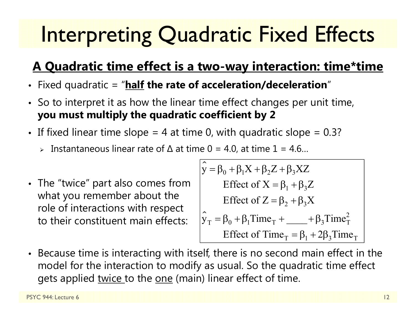# Interpreting Quadratic Fixed Effects

#### **A Quadratic time effect is a two-way interaction: time\*time**

- Fixed quadratic = "**half the rate of acceleration/deceleration** "
- So to interpret it as how the linear time effect changes per unit time, **you must multiply the quadratic coefficient by 2**
- If fixed linear time slope = 4 at time 0, with quadratic slope = 0.3?  $\,$ 
	- Instantaneous linear rate of ∆ at time 0 = 4.0, at time 1 = 4.6…
- The "twice" part also comes from what you remember about the role of interactions with respect to their constituent main effects:

ᄉ  $y = \beta_0 + \beta_1 X + \beta_2 Z + \beta_3 XZ$ ㅅ  $\hat{y}_T = \beta_0 + \beta_1$ Time<sub>T</sub> + \_\_\_\_\_ +  $\beta_3$ Time<sup>2</sup><sub>T</sub> Effect of  $X = \beta_1 + \beta_3 Z$ Effect of  $Z = \beta_2 + \beta_3 X$ Effect of Time<sub>T</sub> =  $\beta_1$  + 2 $\beta_3$ Time<sub>T</sub>

• Because time is interacting with itself, there is no second main effect in the model for the interaction to modify as usual. So the quadratic time effect gets applied twice to the one (main) linear effect of time.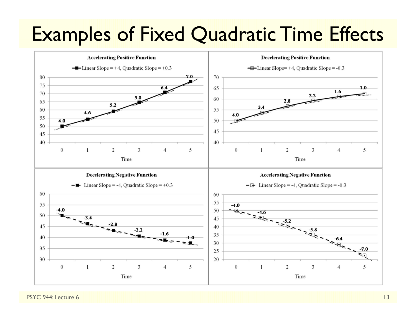### Examples of Fixed Quadratic Time Effects



PSYC 944: Lecture 6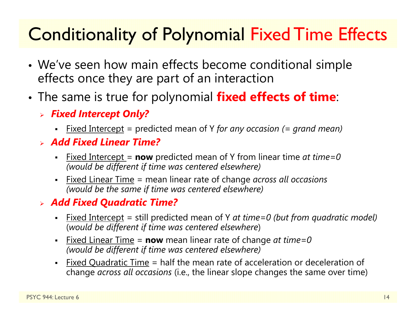### Conditionality of Polynomial Fixed Time Effects

- • We've seen how main effects become conditional simple effects once they are part of an interaction
- • The same is true for polynomial **fixed effects of time**:
	- *Fixed Intercept Only?*
		- $\blacksquare$ Fixed Intercept = predicted mean of Y *for any occasion (= grand mean)*
	- *Add Fixed Linear Time?*
		- n Fixed Intercept = **now** predicted mean of Y from linear time *at time=0 (would be different if time was centered elsewhere)*
		- Fixed Linear Time = mean linear rate of change *across all occasions (would be the same if time was centered elsewhere)*

#### *Add Fixed Quadratic Time?*

- n Fixed Intercept = still predicted mean of Y *at time=0 (but from quadratic model)* (*would be different if time was centered elsewhere*)
- n Fixed Linear Time <sup>=</sup>**now** mean linear rate of change *at time=0 (would be different if time was centered elsewhere)*
- n Fixed Quadratic Time = half the mean rate of acceleration or deceleration of change *across all occasions* (i.e., the linear slope changes the same over time)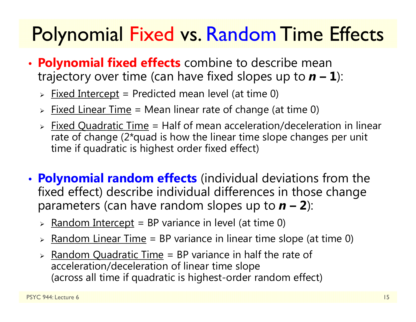### **Polynomial Fixed vs. Random Time Effects**

- • **Polynomial fixed effects** combine to describe mean trajectory over time (can have fixed slopes up to  $n - 1$ ):
	- > <u>Fixed Intercept</u> = Predicted mean level (at time 0)
	- > Fixed Linear Time = Mean linear rate of change (at time 0)
	- > Fixed Quadratic Time = Half of mean acceleration/deceleration in linear rate of change (2\*quad is how the linear time slope changes per unit time if quadratic is highest order fixed effect)
- • **Polynomial random effects** (individual deviations from the fixed effect) describe individual differences in those change parameters (can have random slopes up to  $n - 2$ ):
	- > <u>Random Intercept</u> = BP variance in level (at time 0)
	- > <u>Random Linear Time</u> = BP variance in linear time slope (at time 0)
	- > Random Quadratic Time = BP variance in half the rate of acceleration/deceleration of linear time slope (across all time if quadratic is highest-order random effect)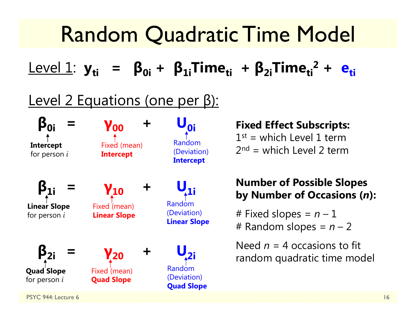#### Random Quadratic Time Model Level 1: **yti <sup>=</sup> β0i <sup>+</sup> β1iTimeti <sup>+</sup> β2iTimeti2 + eti**Level 2 Equations (one per β): **β0i <sup>=</sup> γ00 <sup>+</sup>**  $\mathbf{U_{0i}}$ **β1i <sup>=</sup> γ10 <sup>+</sup>**  ${\mathsf U}_{1i}$ **β2i <sup>=</sup> γ20 <sup>+</sup> U2i** PSYC 944: Lecture 6 16 **Fixed Effect Subscripts:**  $1^{st}$  = which Level 1 term  $2<sup>nd</sup>$  = which Level 2 term **Number of Possible Slopes by Number of Occasions (** *<sup>n</sup>***):** # Fixed slopes = *n* – 1 # Random slopes = *n* – 2 Need *n* = 4 occasions to fit random quadratic time model **Intercept** for person *i* **Linear Slope** for person *i* **Quad Slope** for person *i* Fixed (mean) **Intercept** Fixed (mean) **Linear Slope** Fixed (mean) **Quad Slope** Random (Deviation) **Intercept** Random (Deviation) **Linear Slope** Random (Deviation) **Quad Slope**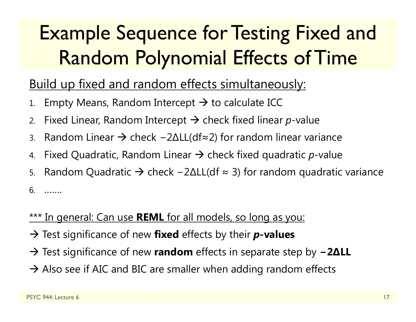### Example Sequence for Testing Fixed and Random Polynomial Effects of Time

#### Build up fixed and random effects simultaneously:

- 1.. Empty Means, Random Intercept  $\bm{\rightarrow}$  to calculate ICC
- 2.. Fixed Linear, Random Intercept  $\bm{\rightarrow}$  check fixed linear  $p$ -value
- 3.. Random Linear → check –2∆LL(df≈2) for random linear variance
- 4.. Fixed Quadratic, Random Linear  $\rightarrow$  check fixed quadratic  $p$ -value
- 5.. Random Quadratic → check –2∆LL(df ≈ 3) for random quadratic variance

6. …….

#### \*\*\* In general: Can use **REML** for all models, so long as you:

- → Test significance of new **fixed** effects by their **p-values**
- → Test significance of new **random** effects in separate step by **− 2 ∆LL**
- $\rightarrow$  Also see if AIC and BIC are smaller when adding random effects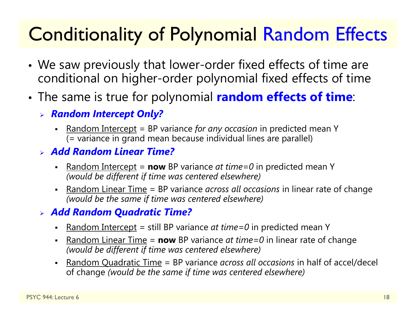### Conditionality of Polynomial Random Effects

- • We saw previously that lower-order fixed effects of time are conditional on higher-order polynomial fixed effects of time
- • The same is true for polynomial **random effects of time**:
	- *Random Intercept Only?*
		- n Random Intercept = BP variance *for any occasion* in predicted mean Y (= variance in grand mean because individual lines are parallel)
	- *Add Random Linear Time?*
		- n Random Intercept <sup>=</sup>**now** BP variance *at time=0* in predicted mean Y *(would be different if time was centered elsewhere)*
		- n Random Linear Time = BP variance *across all occasions* in linear rate of change *(would be the same if time was centered elsewhere)*

#### *Add Random Quadratic Time?*

- n Random Intercept = still BP variance *at time=0* in predicted mean Y
- n **-** Random Linear Time = **now** BP variance *at time=0* in linear rate of change *(would be different if time was centered elsewhere)*
- n Random Quadratic Time = BP variance *across all occasions* in half of accel/decel of change *(would be the same if time was centered elsewhere)*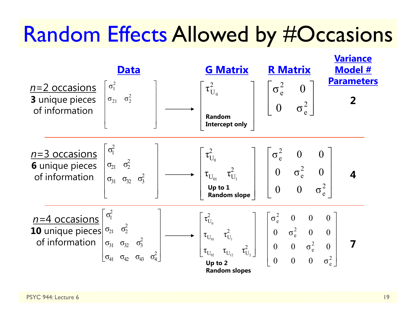### Random Effects Allowed by #Occasions

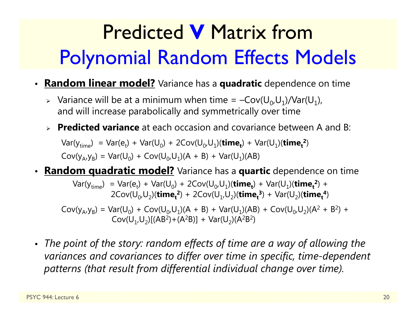# Predicted **V** Matrix from Polynomial Random Effects Models

- **Random linear model?** Variance has a **quadratic** dependence on time
	- > Variance will be at a minimum when time =  $-Cov(U_0,U_1)/Var(U_1)$ , and will increase parabolically and symmetrically over time
	- **Predicted variance** at each occasion and covariance between A and B:

 $Var(y_{time}) = Var(e_t) + Var(U_0) + 2Cov(U_0, U_1)(time_t) + Var(U_1)(time_t^2)$  $Cov(y_A, y_B) = Var(U_0) + Cov(U_0, U_1)(A + B) + Var(U_1)(AB)$ 

• **Random quadratic model?** Variance has a **quartic** dependence on time

 $Var(y_{time}) = Var(e_t) + Var(U_0) + 2Cov(U_0, U_1)(time_t) + Var(U_1)(time_t^2) +$  $2\text{Cov}(U_{0},U_{2})$ (**time**<sub>t</sub><sup>2</sup>) +  $2\text{Cov}(U_{1},U_{2})$ (**time**<sub>t</sub><sup>3</sup>) +  $\text{Var}(U_{2})$ (**time**<sub>t</sub><sup>4</sup>)

 $Cov(y_A, y_B) = Var(U_0) + Cov(U_0, U_1)(A + B) + Var(U_1)(AB) + Cov(U_0, U_2)(A^2 + B^2) +$  $Cov(U_1,U_2)[(AB^2)+(A^2B)] + Var(U_2)(A^2B^2)$ 

• *The point of the story: random effects of time are a way of allowing the variances and covariances to differ over time in specific, time-dependent patterns (that result from differential individual change over time).*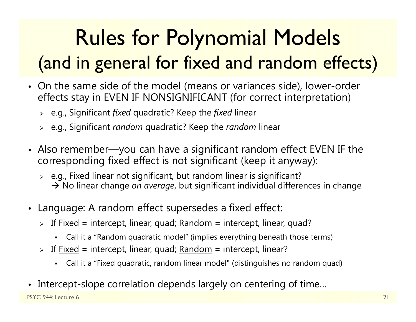# Rules for Polynomial Models (and in general for fixed and random effects)

- On the same side of the model (means or variances side), lower-order effects stay in EVEN IF NONSIGNIFICANT (for correct interpretation)
	- e.g., Significant *fixed* quadratic? Keep the *fixed* linear
	- e.g., Significant *random* quadratic? Keep the *random* linear
- Also remember—you can have a significant random effect EVEN IF the corresponding fixed effect is not significant (keep it anyway):
	- $\triangleright$   $\,$  e.g., Fixed linear not significant, but random linear is significant? → No linear change *on average*, but significant individual differences in change
- Language: A random effect supersedes a fixed effect:
	- > If <u>Fixed</u> = intercept, linear, quad; <u>Random</u> = intercept, linear, quad?
		- Call it a "Random quadratic model" (implies everything beneath those terms)
	- > If <u>Fixed</u> = intercept, linear, quad; <u>Random</u> = intercept, linear?
		- Call it a "Fixed quadratic, random linear model" (distinguishes no random quad)
- •Intercept-slope correlation depends largely on centering of time…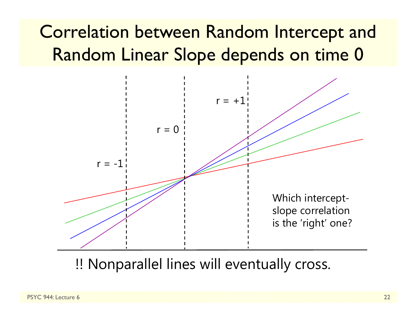### Correlation between Random Intercept and Random Linear Slope depends on time 0



!! Nonparallel lines will eventually cross.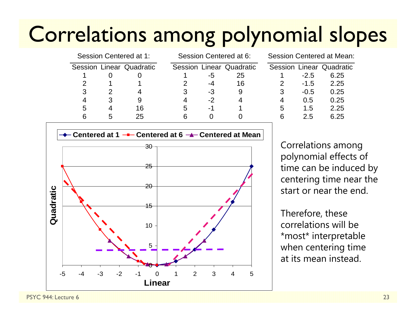## Correlations among polynomial slopes

| Session Centered at 1: |   |                          | Session Centered at 6: |      |                          | Session Centered at Mean: |        |                          |  |  |
|------------------------|---|--------------------------|------------------------|------|--------------------------|---------------------------|--------|--------------------------|--|--|
|                        |   | Session Linear Quadratic |                        |      | Session Linear Quadratic |                           |        | Session Linear Quadratic |  |  |
|                        |   |                          |                        | -5   | 25                       |                           | $-2.5$ | 6.25                     |  |  |
|                        |   |                          |                        | -4   | 16                       |                           | $-1.5$ | 2.25                     |  |  |
| 3                      |   |                          |                        | $-3$ | 9                        |                           | $-0.5$ | 0.25                     |  |  |
| 4                      |   |                          |                        | $-2$ | 4                        | 4                         | 0.5    | 0.25                     |  |  |
| 5                      |   | 16                       | 5                      | -1   |                          | 5                         | 1.5    | 2.25                     |  |  |
|                        | 5 | 25                       | 6                      |      |                          | 6                         | 2.5    | 6.25                     |  |  |
|                        |   |                          |                        |      |                          |                           |        |                          |  |  |

| Session Linear Quadratic<br>6.25 |
|----------------------------------|
|                                  |
|                                  |
| 2.25                             |
| 0.25                             |
| 0.25                             |
| 2.25                             |
| 6.25                             |
|                                  |



Correlations among polynomial effects of time can be induced by centering time near the start or near the end.

Therefore, these correlations will be \*most\* interpretable when centering time at its mean instead.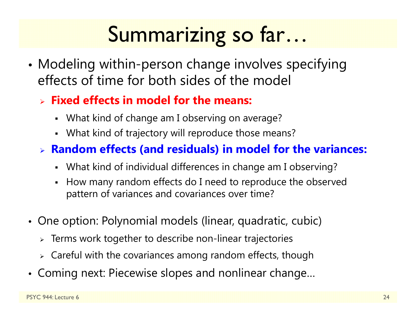# Summarizing so far…

• Modeling within-person change involves specifying effects of time for both sides of the model

#### **Fixed effects in model for the means:**

- What kind of change am I observing on average?
- What kind of trajectory will reproduce those means?

#### **Random effects (and residuals) in model for the variances:**

- What kind of individual differences in change am I observing?
- How many random effects do I need to reproduce the observed pattern of variances and covariances over time?
- One option: Polynomial models (linear, quadratic, cubic)
	- $\triangleright$  Terms work together to describe non-linear trajectories
	- $\triangleright$  Careful with the covariances among random effects, though
- Coming next: Piecewise slopes and nonlinear change…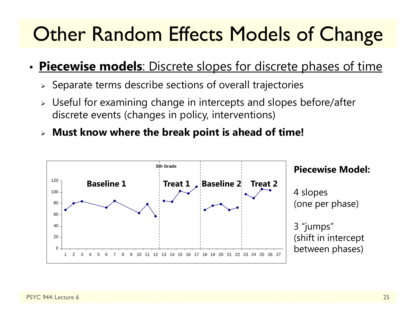### **Other Random Effects Models of Change**

#### •**Piecewise models**: Discrete slopes for discrete phases of time

- $\triangleright$  Separate terms describe sections of overall trajectories
- $\triangleright$  Useful for examining change in intercepts and slopes before/after discrete events (changes in policy, interventions)
- **Must know where the break point is ahead of time!**

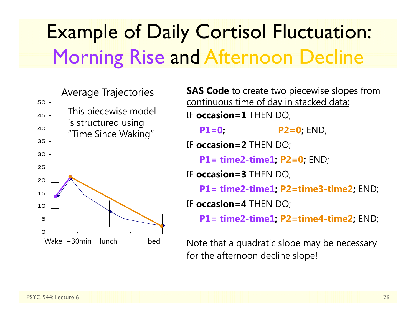### Example of Daily Cortisol Fluctuation: Morning Rise and Afternoon Decline



**SAS Code** to create two piecewise slopes from continuous time of day in stacked data: IF **occasion=1** THEN DO; **P1=0; P2=0;** END; IF **occasion=2** THEN DO; **P1= time2-time1; P2=0;** END; IF **occasion=3** THEN DO; **P1= time2-time1; P2=time3-time2;** END; IF **occasion=4** THEN DO; **P1= time2-time1; P2=time4-time2;** END; Note that a quadratic slope may be necessary

for the afternoon decline slope!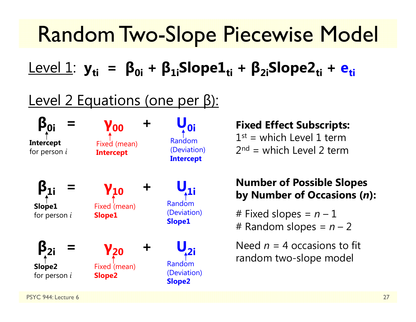## Random Two-Slope Piecewise Model

Level 1: **yti <sup>=</sup> β0i <sup>+</sup> β1iSlope1ti <sup>+</sup> β2iSlope2ti <sup>+</sup> eti**

#### Level 2 Equations (one per β):

**β0i <sup>=</sup> γ00 <sup>+</sup> U0i β1i <sup>=</sup> γ10 <sup>+</sup>**  ${\mathsf U}_{\mathsf 1 \mathsf i}$ **β2i <sup>=</sup> γ20 <sup>+</sup>**  $\bigcup_{\lambda^2}$  $\sim$  27 **Intercept** for person *i* **Slope1** for person *i* **Slope2** for person *i* Fixed (mean) **Intercept** Fixed (mean) **Slope1** Fixed (mean) **Slope2** Random (Deviation) **Intercept** Random (Deviation) **Slope1** Random (Deviation) **Slope2**

#### **Fixed Effect Subscripts:**

 $1^{st}$  = which Level 1 term  $2<sup>nd</sup>$  = which Level 2 term

#### **Number of Possible Slopes by Number of Occasions (** *<sup>n</sup>***):**

# Fixed slopes = *n* – 1 # Random slopes = *n* – 2

Need *n* = 4 occasions to fit random two-slope model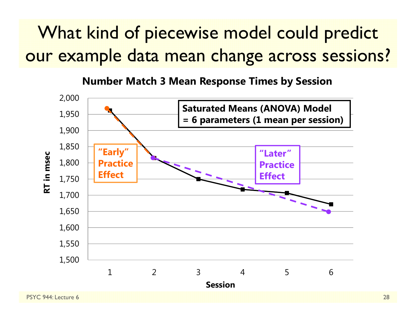### What kind of piecewise model could predict our example data mean change across sessions?

**Number Match 3 Mean Response Times by Session**

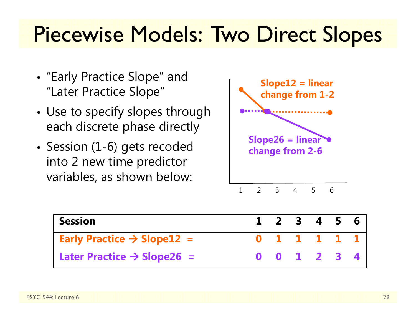## Piecewise Models: Two Direct Slopes

- "Early Practice Slope" and "Later Practice Slope"
- • Use to specify slopes through each discrete phase directly
- Session (1-6) gets recoded into 2 new time predictor variables, as shown below:



| <b>Session</b>                                           | $1 \t2 \t3 \t4 \t5 \t6$ |  |  |
|----------------------------------------------------------|-------------------------|--|--|
| <b>Early Practice <math>\rightarrow</math> Slope12 =</b> | 0 1 1 1 1 1 1           |  |  |
| Later Practice $\rightarrow$ Slope26 =                   | 0 0 1 2 3 4             |  |  |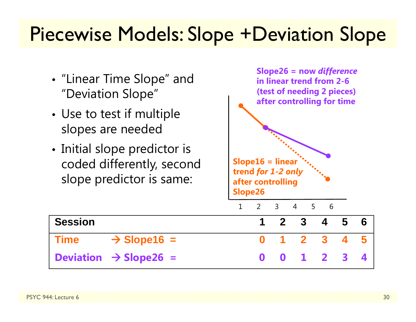### Piecewise Models: Slope +Deviation Slope

- "Linear Time Slope" and "Deviation Slope"
- • Use to test if multiple slopes are needed
- Initial slope predictor is coded differently, second slope predictor is same:



**Time**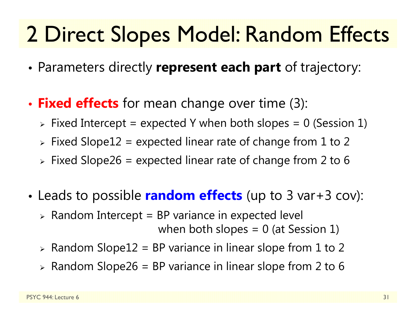# 2 Direct Slopes Model: Random Effects

- •Parameters directly **represent each part** of trajectory:
- • **Fixed effects** for mean change over time (3):
	- $\triangleright$  Fixed Intercept = expected Y when both slopes = 0 (Session 1)
	- $\triangleright$  Fixed Slope $12$  = expected linear rate of change from  $1$  to  $2$
	- $\triangleright$  Fixed Slope26 = expected linear rate of change from 2 to 6
- • Leads to possible **random effects** (up to 3 var+3 cov):
	- $\triangleright$  Random Intercept = BP variance in expected level when both slopes  $= 0$  (at Session 1)
	- $\triangleright$  Random Slope12 = BP variance in linear slope from 1 to 2
	- $\triangleright$  Random Slope26 = BP variance in linear slope from 2 to 6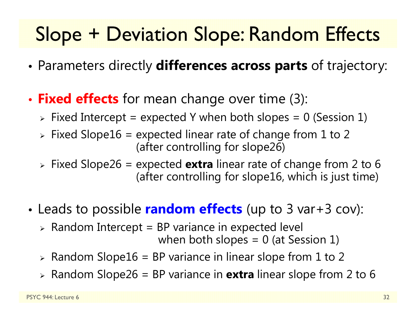### Slope + Deviation Slope: Random Effects

- •Parameters directly **differences across parts** of trajectory:
- • **Fixed effects** for mean change over time (3):
	- $\triangleright$  Fixed Intercept = expected Y when both slopes = 0 (Session 1)
	- $\triangleright$  Fixed Slope16 = expected linear rate of change from 1 to 2 (after controlling for slope26)
	- Fixed Slope26 = expected **extra** linear rate of change from 2 to 6 (after controlling for slope16, which is just time)
- • Leads to possible **random effects** (up to 3 var+3 cov):
	- $\triangleright$  Random Intercept = BP variance in expected level

when both slopes  $= 0$  (at Session 1)

- $\triangleright$  Random Slope16 = BP variance in linear slope from 1 to 2
- Random Slope26 = BP variance in **extra** linear slope from 2 to 6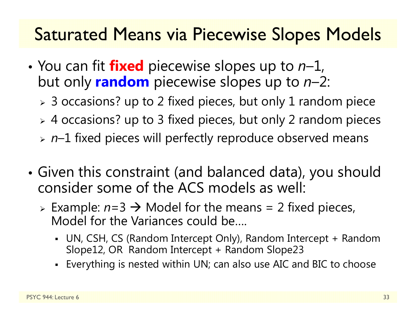#### Saturated Means via Piecewise Slopes Models

- You can fit **fixed** piecewise slopes up to *<sup>n</sup>*–1, but only **random** piecewise slopes up to *n*–2:
	- $\triangleright$  3 occasions? up to 2 fixed pieces, but only 1 random piece
	- 4 occasions? up to 3 fixed pieces, but only 2 random pieces
	- *<sup>n</sup>*–1 fixed pieces will perfectly reproduce observed means
- • Given this constraint (and balanced data), you should consider some of the ACS models as well:
	- $\triangleright$  Example:  $n=3 \rightarrow$  Model for the means = 2 fixed pieces, Model for the Variances could be….
		- UN, CSH, CS (Random Intercept Only), Random Intercept + Random Slope12, OR Random Intercept + Random Slope23
		- Everything is nested within UN; can also use AIC and BIC to choose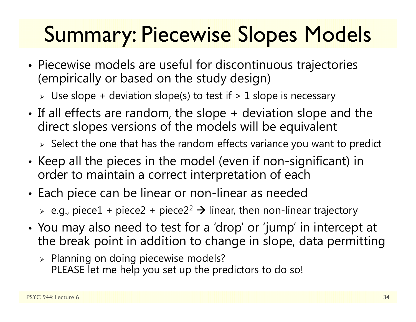# Summary: Piecewise Slopes Models

- • Piecewise models are useful for discontinuous trajectories (empirically or based on the study design)
	- $\triangleright$  Use slope + deviation slope(s) to test if  $> 1$  slope is necessary
- • If all effects are random, the slope + deviation slope and the direct slopes versions of the models will be equivalent

 $\triangleright$  Select the one that has the random effects variance you want to predict

- • $\bullet\,$  Keep all the pieces in the model (even if non-significant) in  $\,$ order to maintain a correct interpretation of each
- Each piece can be linear or non-linear as needed

 $\triangleright$  e.g., piece $1$  + piece $2$  + piece $2^2$   $\rightarrow$  linear, then non-linear trajectory

- • You may also need to test for a 'drop' or 'jump' in intercept at the break point in addition to change in slope, data permitting
	- $\triangleright$  Planning on doing piecewise models? PLEASE let me help you set up the predictors to do so!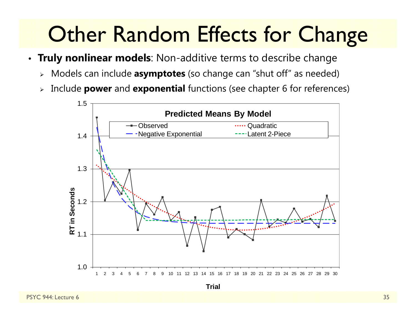# **Other Random Effects for Change**

- **Truly nonlinear models**: Non-additive terms to describe change
	- Models can include **asymptotes** (so change can "shut off" as needed)
	- $\blacktriangleright$ Include **power** and **exponential** functions (see chapter 6 for references)



**Trial**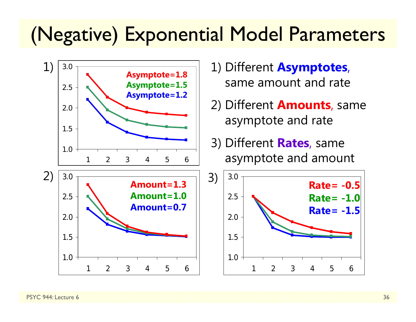### (Negative) Exponential Model Parameters



- 1) Different **Asymptotes**, same amount and rate
- 2) Different **Amounts**, same asymptote and rate
- 3) Different **Rates**, same asymptote and amount

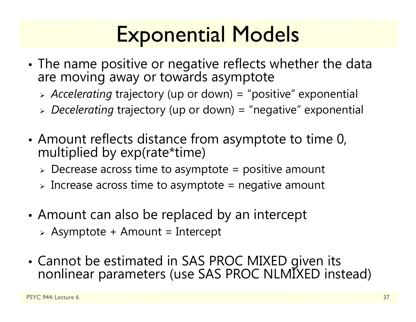# Exponential Models

- • The name positive or negative reflects whether the data are moving away or towards asymptote
	- *Accelerating* trajectory (up or down) = "positive" exponential
	- *Decelerating* trajectory (up or down) = "negative" exponential
- • Amount reflects distance from asymptote to time 0, multiplied by exp(rate\*time)
	- $\triangleright$  Decrease across time to asymptote = positive amount
	- $\triangleright$  Increase across time to asymptote = negative amount
- • Amount can also be replaced by an intercept
	- $\triangleright$  Asymptote + Amount = Intercept
- Cannot be estimated in SAS PROC MIXED given its nonlinear parameters (use SAS PROC NLMIXED instead)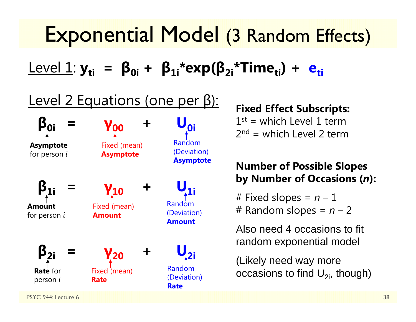### Exponential Model (3 Random Effects)

 ${\sf Level\ 1:}$   ${\sf y_{ti}\ \, =\ \, {\sf \beta_{0i}\, +\ \, {\sf \beta_{1i}}^{\ast}}$ exp( ${\sf \beta_{2i}\!}\,$ \*Time<sub>ti</sub>) +  ${\sf e_{ti}\!}\,$ 

#### Level 2 Equations (one per β):



#### **Fixed Effect Subscripts:**

 $1^{st}$  = which Level 1 term  $2<sup>nd</sup>$  = which Level 2 term

#### **Number of Possible Slopes by Number of Occasions (** *<sup>n</sup>***):**

# Fixed slopes = *n* – 1 # Random slopes = *n* – 2

Also need 4 occasions to fit random exponential model

(Likely need way more occasions to find  $U_{2i}$ , though)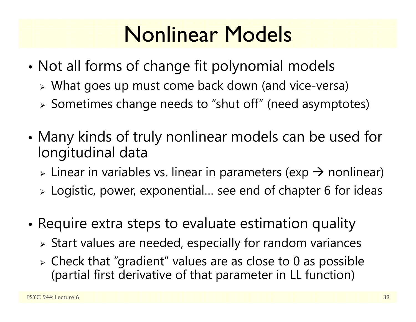# Nonlinear Models

- • Not all forms of change fit polynomial models
	- What goes up must come back down (and vice-versa)
	- Sometimes change needs to "shut off" (need asymptotes)
- • Many kinds of truly nonlinear models can be used for longitudinal data
	- $\triangleright$  Linear in variables vs. linear in parameters (exp  $\rightarrow$  nonlinear)
	- $\triangleright$  Logistic, power, exponential... see end of chapter 6 for ideas
- • $\bullet$  Require extra steps to evaluate estimation quality
	- $\triangleright$  Start values are needed, especially for random variances
	- $\triangleright$  Check that "gradient" values are as close to 0 as possible (partial first derivative of that parameter in LL function)